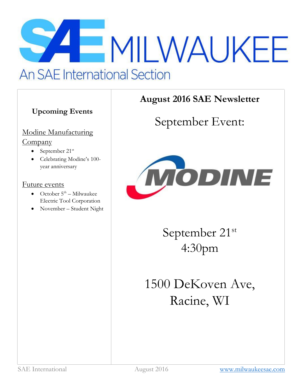# MILWAUKEE **An SAE International Section**

## **Upcoming Events**

## Modine Manufacturing **Company**

- $\bullet$  September 21st
- Celebrating Modine's 100 year anniversary

## Future events

- October  $5^{\text{th}}$  Milwaukee Electric Tool Corporation
- November Student Night

# **August 2016 SAE Newsletter**

# September Event:



September 21st 4:30pm

1500 DeKoven Ave, Racine, WI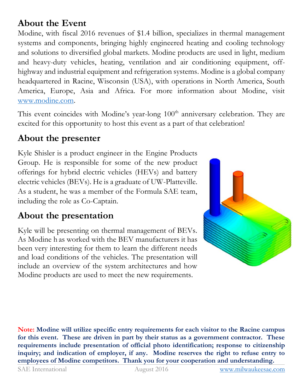# **About the Event**

Modine, with fiscal 2016 revenues of \$1.4 billion, specializes in thermal management systems and components, bringing highly engineered heating and cooling technology and solutions to diversified global markets. Modine products are used in light, medium and heavy-duty vehicles, heating, ventilation and air conditioning equipment, offhighway and industrial equipment and refrigeration systems. Modine is a global company headquartered in Racine, Wisconsin (USA), with operations in North America, South America, Europe, Asia and Africa. For more information about Modine, visit [www.modine.com.](http://www.modine.com/)

This event coincides with Modine's year-long 100<sup>th</sup> anniversary celebration. They are excited for this opportunity to host this event as a part of that celebration!

## **About the presenter**

Kyle Shisler is a product engineer in the Engine Products Group. He is responsible for some of the new product offerings for hybrid electric vehicles (HEVs) and battery electric vehicles (BEVs). He is a graduate of UW-Platteville. As a student, he was a member of the Formula SAE team, including the role as Co-Captain.

## **About the presentation**

Kyle will be presenting on thermal management of BEVs. As Modine h as worked with the BEV manufacturers it has been very interesting for them to learn the different needs and load conditions of the vehicles. The presentation will include an overview of the system architectures and how Modine products are used to meet the new requirements.



**Note: Modine will utilize specific entry requirements for each visitor to the Racine campus for this event. These are driven in part by their status as a government contractor. These requirements include presentation of official photo identification; response to citizenship inquiry; and indication of employer, if any. Modine reserves the right to refuse entry to employees of Modine competitors. Thank you for your cooperation and understanding.**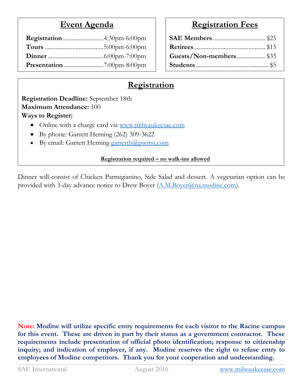## **Event Agenda**

## **Registration Fees**

| Guests/Non-members \$35 |  |
|-------------------------|--|
|                         |  |

## **Registration**

**Registration Deadline:** September 18th **Maximum Attendance:** 100 **Ways to Register:**

- Online with a charge card via [www.milwaukeesae.com](http://www.milwaukeesae.com/)
- By phone: Garrett Herning (262) 309-3622
- $\bullet$  By email: Garrett Herning [garretth@pwrtst.com](mailto:garretth@pwrtst.com)

## **Registration required – no walk-ins allowed**

Dinner will consist of Chicken Parmigianino, Side Salad and dessert. A vegetarian option can be provided with 3-day advance notice to Drew Boyer [\(A.M.Boyer@na.modine.com\)](mailto:A.M.Boyer@na.modine.com).

**Note: Modine will utilize specific entry requirements for each visitor to the Racine campus for this event. These are driven in part by their status as a government contractor. These requirements include presentation of official photo identification; response to citizenship inquiry; and indication of employer, if any. Modine reserves the right to refuse entry to employees of Modine competitors. Thank you for your cooperation and understanding.**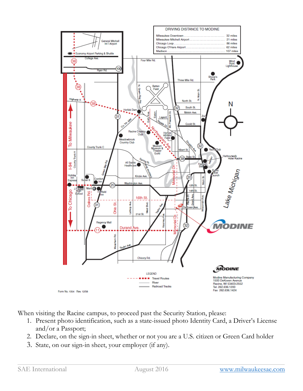

When visiting the Racine campus, to proceed past the Security Station, please:

- 1. Present photo identification, such as a state-issued photo Identity Card, a Driver's License and/or a Passport;
- 2. Declare, on the sign-in sheet, whether or not you are a U.S. citizen or Green Card holder
- 3. State, on our sign-in sheet, your employer (if any).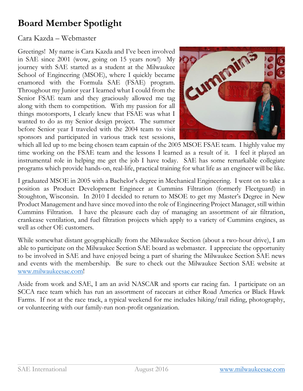# **Board Member Spotlight**

## Cara Kazda – Webmaster

Greetings! My name is Cara Kazda and I've been involved in SAE since 2001 (wow, going on 15 years now!) My journey with SAE started as a student at the Milwaukee School of Engineering (MSOE), where I quickly became enamored with the Formula SAE (FSAE) program. Throughout my Junior year I learned what I could from the Senior FSAE team and they graciously allowed me tag along with them to competition. With my passion for all things motorsports, I clearly knew that FSAE was what I wanted to do as my Senior design project. The summer before Senior year I traveled with the 2004 team to visit sponsors and participated in various track test sessions,



which all led up to me being chosen team captain of the 2005 MSOE FSAE team. I highly value my time working on the FSAE team and the lessons I learned as a result of it. I feel it played an instrumental role in helping me get the job I have today. SAE has some remarkable collegiate programs which provide hands-on, real-life, practical training for what life as an engineer will be like.

I graduated MSOE in 2005 with a Bachelor's degree in Mechanical Engineering. I went on to take a position as Product Development Engineer at Cummins Filtration (formerly Fleetguard) in Stoughton, Wisconsin. In 2010 I decided to return to MSOE to get my Master's Degree in New Product Management and have since moved into the role of Engineering Project Manager, still within Cummins Filtration. I have the pleasure each day of managing an assortment of air filtration, crankcase ventilation, and fuel filtration projects which apply to a variety of Cummins engines, as well as other OE customers.

While somewhat distant geographically from the Milwaukee Section (about a two-hour drive), I am able to participate on the Milwaukee Section SAE board as webmaster. I appreciate the opportunity to be involved in SAE and have enjoyed being a part of sharing the Milwaukee Section SAE news and events with the membership. Be sure to check out the Milwaukee Section SAE website at [www.milwaukeesae.com!](http://www.milwaukeesae.com/)

Aside from work and SAE, I am an avid NASCAR and sports car racing fan. I participate on an SCCA race team which has run an assortment of racecars at either Road America or Black Hawk Farms. If not at the race track, a typical weekend for me includes hiking/trail riding, photography, or volunteering with our family-run non-profit organization.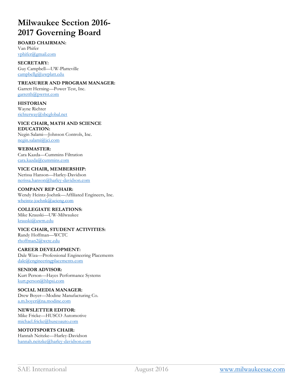## **Milwaukee Section 2016- 2017 Governing Board**

#### **BOARD CHAIRMAN:**

Van Phifer [vphifer@gmail.com](mailto:vphifer@gmail.com)

**SECRETARY:** Guy Campbell—UW-Platteville [campbellg@uwplatt.edu](mailto:campbellg@uwplatt.edu)

#### **TREASURER AND PROGRAM MANAGER:**

Garrett Herning—Power Test, Inc. [garretth@pwrtst.com](mailto:garretth@pwrtst.com)

**HISTORIAN** Wayne Richter [richterway@sbcglobal.net](mailto:richterway@sbcglobal.net)

**VICE CHAIR, MATH AND SCIENCE EDUCATION:** Negin Salami—Johnson Controls, Inc. [negin.salami@jci.com](mailto:negin.salami@jci.com)

#### **WEBMASTER:**

Cara Kazda—Cummins Filtration [cara.kazda@cummins.com](mailto:cara.kazda@kussfiltration.com)

#### **VICE CHAIR, MEMBERSHIP:**

Nerissa Hanson—Harley-Davidson [nerissa.hanson@harley-davidson.com](mailto:nerissa.hanson@harley-davidson.com)

#### **COMPANY REP CHAIR:**

Wendy Heintz-Joehnk—Affiliated Engineers, Inc. [wheintz-joehnk@aeieng.com](mailto:wheintz-joehnk@aeieng.com)

#### **COLLEGIATE RELATIONS:**

Mike Krauski—UW-Milwaukee [krauski@uwm.edu](mailto:krauski@uwm.edu)

**VICE CHAIR, STUDENT ACTIVITIES:** Randy Hoffman—WCTC [rhoffman2@wctc.edu](mailto:rhoffman2@wctc.edu)

#### **CAREER DEVELOPMENT:** Dale Wiza—Professional Engineering Placements [dale@engineeringplacements.com](mailto:dale@engineeringplacements.com)

**SENIOR ADVISOR:** Kurt Person—Hayes Performance Systems [kurt.person@hbpsi.com](mailto:kurt.person@hbpsi.com)

#### **SOCIAL MEDIA MANAGER:**

Drew Boyer—Modine Manufacturing Co. [a.m.boyer@na.modine.com](mailto:a.m.boyer@na.modine.com)

### **NEWSLETTER EDITOR:**

Mike Fricke—HUSCO Automotive [michael.fricke@huscoauto.com](mailto:michael.fricke@huscoauto.com)

#### **MOTOTSPORTS CHAIR:**

Hannah Neitzke—Harley-Davidson [hannah.neitzke@harley-davidson.com](mailto:hannah.neitzke@harley-davidson.com)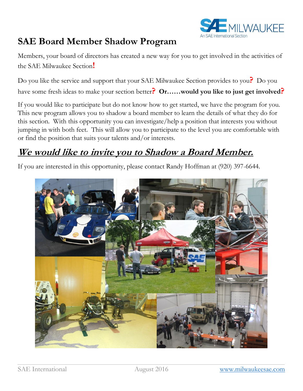

## **SAE Board Member Shadow Program**

Members, your board of directors has created a new way for you to get involved in the activities of the SAE Milwaukee Section**!**

Do you like the service and support that your SAE Milwaukee Section provides to you**?** Do you have some fresh ideas to make your section better**? Or……would you like to just get involved?**

If you would like to participate but do not know how to get started, we have the program for you. This new program allows you to shadow a board member to learn the details of what they do for this section. With this opportunity you can investigate/help a position that interests you without jumping in with both feet. This will allow you to participate to the level you are comfortable with or find the position that suits your talents and/or interests.

## **We would like to invite you to Shadow a Board Member.**

If you are interested in this opportunity, please contact Randy Hoffman at (920) 397-6644.

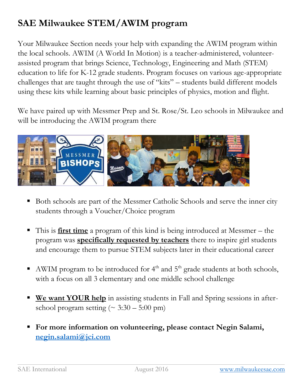# **SAE Milwaukee STEM/AWIM program**

Your Milwaukee Section needs your help with expanding the AWIM program within the local schools. AWIM (A World In Motion) is a teacher-administered, volunteerassisted program that brings Science, Technology, Engineering and Math (STEM) education to life for K-12 grade students. Program focuses on various age-appropriate challenges that are taught through the use of "kits" – students build different models using these kits while learning about basic principles of physics, motion and flight.

We have paired up with Messmer Prep and St. Rose/St. Leo schools in Milwaukee and will be introducing the AWIM program there



- Both schools are part of the Messmer Catholic Schools and serve the inner city students through a Voucher/Choice program
- This is **first time** a program of this kind is being introduced at Messmer the program was **specifically requested by teachers** there to inspire girl students and encourage them to pursue STEM subjects later in their educational career
- AWIM program to be introduced for  $4<sup>th</sup>$  and  $5<sup>th</sup>$  grade students at both schools, with a focus on all 3 elementary and one middle school challenge
- **We want YOUR help** in assisting students in Fall and Spring sessions in afterschool program setting  $( \sim 3:30 - 5:00 \text{ pm} )$
- **For more information on volunteering, please contact Negin Salami, [negin.salami@jci.com](mailto:negin.salami@jci.com)**